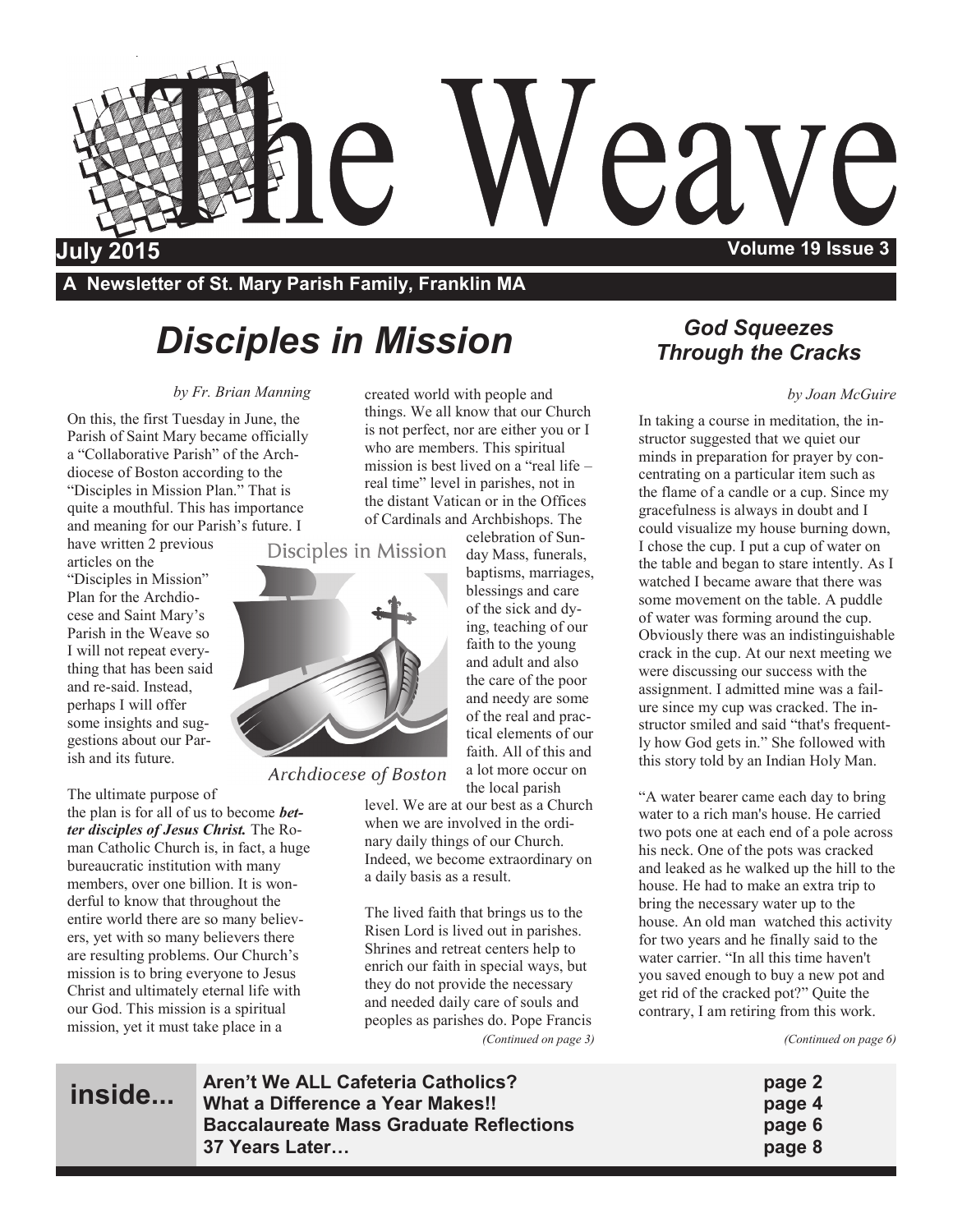

**A Newsletter of St. Mary Parish Family, Franklin MA**

## *Disciples in Mission*

#### *by Fr. Brian Manning*

On this, the first Tuesday in June, the Parish of Saint Mary became officially a "Collaborative Parish" of the Archdiocese of Boston according to the "Disciples in Mission Plan." That is quite a mouthful. This has importance and meaning for our Parish's future. I

have written 2 previous articles on the "Disciples in Mission"

Plan for the Archdiocese and Saint Mary's Parish in the Weave so I will not repeat everything that has been said and re-said. Instead, perhaps I will offer some insights and suggestions about our Parish and its future.

The ultimate purpose of the plan is for all of us to become *better disciples of Jesus Christ.* The Roman Catholic Church is, in fact, a huge bureaucratic institution with many members, over one billion. It is wonderful to know that throughout the entire world there are so many believers, yet with so many believers there are resulting problems. Our Church's mission is to bring everyone to Jesus Christ and ultimately eternal life with our God. This mission is a spiritual mission, yet it must take place in a

**inside...**

created world with people and things. We all know that our Church is not perfect, nor are either you or I who are members. This spiritual mission is best lived on a "real life – real time" level in parishes, not in the distant Vatican or in the Offices of Cardinals and Archbishops. The

celebration of Sun-

a lot more occur on

Disciples in Mission



Archdiocese of Boston

the local parish level. We are at our best as a Church when we are involved in the ordinary daily things of our Church. Indeed, we become extraordinary on a daily basis as a result.

The lived faith that brings us to the Risen Lord is lived out in parishes. Shrines and retreat centers help to enrich our faith in special ways, but they do not provide the necessary and needed daily care of souls and peoples as parishes do. Pope Francis *(Continued on page 3)*

### *God Squeezes Through the Cracks*

#### *by Joan McGuire*

In taking a course in meditation, the instructor suggested that we quiet our minds in preparation for prayer by concentrating on a particular item such as the flame of a candle or a cup. Since my gracefulness is always in doubt and I could visualize my house burning down, I chose the cup. I put a cup of water on the table and began to stare intently. As I watched I became aware that there was some movement on the table. A puddle of water was forming around the cup. Obviously there was an indistinguishable crack in the cup. At our next meeting we were discussing our success with the assignment. I admitted mine was a failure since my cup was cracked. The instructor smiled and said "that's frequently how God gets in." She followed with this story told by an Indian Holy Man.

"A water bearer came each day to bring water to a rich man's house. He carried two pots one at each end of a pole across his neck. One of the pots was cracked and leaked as he walked up the hill to the house. He had to make an extra trip to bring the necessary water up to the house. An old man watched this activity for two years and he finally said to the water carrier. "In all this time haven't you saved enough to buy a new pot and get rid of the cracked pot?" Quite the contrary, I am retiring from this work.

*(Continued on page 6)*

- 
- 
- 

**Aren't We ALL Cafeteria Catholics? page 2 What a Difference a Year Makes!! page 4 Baccalaureate Mass Graduate Reflections page 6 37 Years Later… page 8**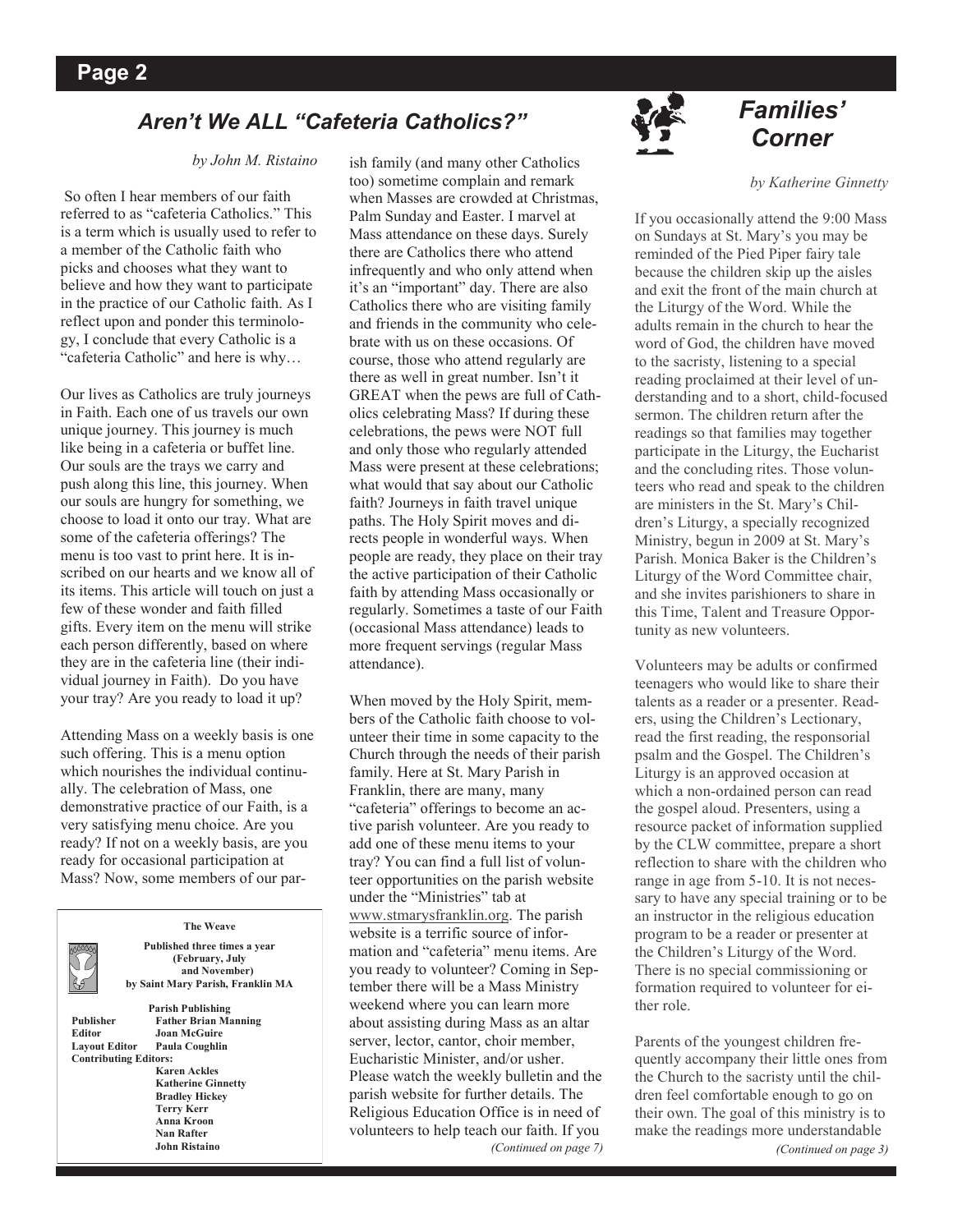## *Corner Aren't We ALL "Cafeteria Catholics?"*

#### *by John M. Ristaino*

So often I hear members of our faith referred to as "cafeteria Catholics." This is a term which is usually used to refer to a member of the Catholic faith who picks and chooses what they want to believe and how they want to participate in the practice of our Catholic faith. As I reflect upon and ponder this terminology, I conclude that every Catholic is a "cafeteria Catholic" and here is why…

Our lives as Catholics are truly journeys in Faith. Each one of us travels our own unique journey. This journey is much like being in a cafeteria or buffet line. Our souls are the trays we carry and push along this line, this journey. When our souls are hungry for something, we choose to load it onto our tray. What are some of the cafeteria offerings? The menu is too vast to print here. It is inscribed on our hearts and we know all of its items. This article will touch on just a few of these wonder and faith filled gifts. Every item on the menu will strike each person differently, based on where they are in the cafeteria line (their individual journey in Faith). Do you have your tray? Are you ready to load it up?

Attending Mass on a weekly basis is one such offering. This is a menu option which nourishes the individual continually. The celebration of Mass, one demonstrative practice of our Faith, is a very satisfying menu choice. Are you ready? If not on a weekly basis, are you ready for occasional participation at Mass? Now, some members of our par-



**The Weave**

**Published three times a year (February, July and November) by Saint Mary Parish, Franklin MA**

**Contributing Editors:**

**Parish Publishing Publisher Father Brian Manning Editor Joan McGuire Paula Coughlin Karen Ackles Katherine Ginnetty Bradley Hickey Terry Kerr Anna Kroon Nan Rafter John Ristaino**

ish family (and many other Catholics too) sometime complain and remark when Masses are crowded at Christmas, Palm Sunday and Easter. I marvel at Mass attendance on these days. Surely there are Catholics there who attend infrequently and who only attend when it's an "important" day. There are also Catholics there who are visiting family and friends in the community who celebrate with us on these occasions. Of course, those who attend regularly are there as well in great number. Isn't it GREAT when the pews are full of Catholics celebrating Mass? If during these celebrations, the pews were NOT full and only those who regularly attended Mass were present at these celebrations; what would that say about our Catholic faith? Journeys in faith travel unique paths. The Holy Spirit moves and directs people in wonderful ways. When people are ready, they place on their tray the active participation of their Catholic faith by attending Mass occasionally or regularly. Sometimes a taste of our Faith (occasional Mass attendance) leads to more frequent servings (regular Mass attendance).

When moved by the Holy Spirit, members of the Catholic faith choose to volunteer their time in some capacity to the Church through the needs of their parish family. Here at St. Mary Parish in Franklin, there are many, many "cafeteria" offerings to become an active parish volunteer. Are you ready to add one of these menu items to your tray? You can find a full list of volunteer opportunities on the parish website under the "Ministries" tab at [www.stmarysfranklin.org.](http://www.stmarysfranklin.org) The parish website is a terrific source of information and "cafeteria" menu items. Are you ready to volunteer? Coming in September there will be a Mass Ministry weekend where you can learn more about assisting during Mass as an altar server, lector, cantor, choir member, Eucharistic Minister, and/or usher. Please watch the weekly bulletin and the parish website for further details. The Religious Education Office is in need of volunteers to help teach our faith. If you *(Continued on page 7)*



# *Families'*

#### *by Katherine Ginnetty*

If you occasionally attend the 9:00 Mass on Sundays at St. Mary's you may be reminded of the Pied Piper fairy tale because the children skip up the aisles and exit the front of the main church at the Liturgy of the Word. While the adults remain in the church to hear the word of God, the children have moved to the sacristy, listening to a special reading proclaimed at their level of understanding and to a short, child-focused sermon. The children return after the readings so that families may together participate in the Liturgy, the Eucharist and the concluding rites. Those volunteers who read and speak to the children are ministers in the St. Mary's Children's Liturgy, a specially recognized Ministry, begun in 2009 at St. Mary's Parish. Monica Baker is the Children's Liturgy of the Word Committee chair, and she invites parishioners to share in this Time, Talent and Treasure Opportunity as new volunteers.

Volunteers may be adults or confirmed teenagers who would like to share their talents as a reader or a presenter. Readers, using the Children's Lectionary, read the first reading, the responsorial psalm and the Gospel. The Children's Liturgy is an approved occasion at which a non-ordained person can read the gospel aloud. Presenters, using a resource packet of information supplied by the CLW committee, prepare a short reflection to share with the children who range in age from 5-10. It is not necessary to have any special training or to be an instructor in the religious education program to be a reader or presenter at the Children's Liturgy of the Word. There is no special commissioning or formation required to volunteer for either role.

Parents of the youngest children frequently accompany their little ones from the Church to the sacristy until the children feel comfortable enough to go on their own. The goal of this ministry is to make the readings more understandable *(Continued on page 3)*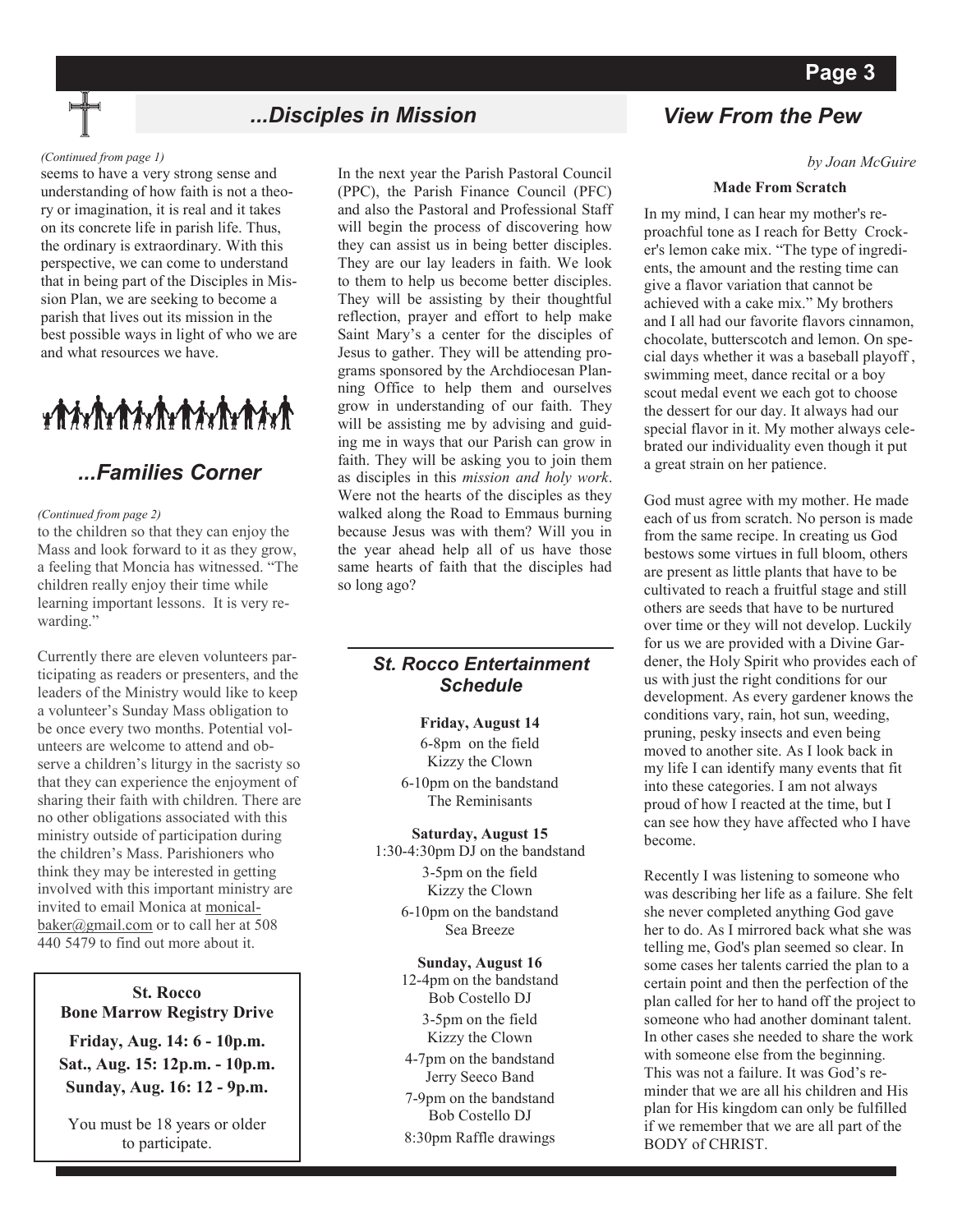### *...Disciples in Mission View From the Pew*

#### *(Continued from page 1)*

seems to have a very strong sense and understanding of how faith is not a theory or imagination, it is real and it takes on its concrete life in parish life. Thus, the ordinary is extraordinary. With this perspective, we can come to understand that in being part of the Disciples in Mission Plan, we are seeking to become a parish that lives out its mission in the best possible ways in light of who we are and what resources we have.

## ${\color{blue}\textbf{#}}{\color{blue}\textbf{#}}{\color{blue}\textbf{#}}{\color{blue}\textbf{#}}{\color{blue}\textbf{#}}{\color{blue}\textbf{#}}{\color{blue}\textbf{#}}{\color{blue}\textbf{#}}{\color{blue}\textbf{#}}{\color{blue}\textbf{#}}{\color{blue}\textbf{#}}{\color{blue}\textbf{#}}{\color{blue}\textbf{#}}{\color{blue}\textbf{#}}{\color{blue}\textbf{#}}{\color{blue}\textbf{#}}{\color{blue}\textbf{#}}{\color{blue}\textbf{#}}{\color{blue}\textbf{#}}{\color{blue}\textbf{#}}{\color{blue}\textbf{#}}{\color{blue}\textbf{#}}$

### *...Families Corner*

#### *(Continued from page 2)*

to the children so that they can enjoy the Mass and look forward to it as they grow, a feeling that Moncia has witnessed. "The children really enjoy their time while learning important lessons. It is very rewarding."

Currently there are eleven volunteers participating as readers or presenters, and the leaders of the Ministry would like to keep a volunteer's Sunday Mass obligation to be once every two months. Potential volunteers are welcome to attend and observe a children's liturgy in the sacristy so that they can experience the enjoyment of sharing their faith with children. There are no other obligations associated with this ministry outside of participation during the children's Mass. Parishioners who think they may be interested in getting involved with this important ministry are invited to email Monica at [monical](mailto:monicalbaker@gmail.com)[baker@gmail.com](mailto:monicalbaker@gmail.com) or to call her at 508 440 5479 to find out more about it.

**St. Rocco Bone Marrow Registry Drive Friday, Aug. 14: 6 - 10p.m. Sat., Aug. 15: 12p.m. - 10p.m. Sunday, Aug. 16: 12 - 9p.m.**

You must be 18 years or older to participate.

In the next year the Parish Pastoral Council (PPC), the Parish Finance Council (PFC) and also the Pastoral and Professional Staff will begin the process of discovering how they can assist us in being better disciples. They are our lay leaders in faith. We look to them to help us become better disciples. They will be assisting by their thoughtful reflection, prayer and effort to help make Saint Mary's a center for the disciples of Jesus to gather. They will be attending programs sponsored by the Archdiocesan Planning Office to help them and ourselves grow in understanding of our faith. They will be assisting me by advising and guiding me in ways that our Parish can grow in faith. They will be asking you to join them as disciples in this *mission and holy work*. Were not the hearts of the disciples as they walked along the Road to Emmaus burning because Jesus was with them? Will you in the year ahead help all of us have those same hearts of faith that the disciples had so long ago?

#### *St. Rocco Entertainment Schedule*

#### **Friday, August 14**

6-8pm on the field Kizzy the Clown

6-10pm on the bandstand The Reminisants

**Saturday, August 15** 1:30-4:30pm DJ on the bandstand 3-5pm on the field Kizzy the Clown 6-10pm on the bandstand Sea Breeze

#### **Sunday, August 16**

12-4pm on the bandstand Bob Costello DJ 3-5pm on the field Kizzy the Clown

4-7pm on the bandstand Jerry Seeco Band

7-9pm on the bandstand Bob Costello DJ 8:30pm Raffle drawings

*by Joan McGuire*

#### **Made From Scratch**

In my mind, I can hear my mother's reproachful tone as I reach for Betty Crocker's lemon cake mix. "The type of ingredients, the amount and the resting time can give a flavor variation that cannot be achieved with a cake mix." My brothers and I all had our favorite flavors cinnamon, chocolate, butterscotch and lemon. On special days whether it was a baseball playoff , swimming meet, dance recital or a boy scout medal event we each got to choose the dessert for our day. It always had our special flavor in it. My mother always celebrated our individuality even though it put a great strain on her patience.

God must agree with my mother. He made each of us from scratch. No person is made from the same recipe. In creating us God bestows some virtues in full bloom, others are present as little plants that have to be cultivated to reach a fruitful stage and still others are seeds that have to be nurtured over time or they will not develop. Luckily for us we are provided with a Divine Gardener, the Holy Spirit who provides each of us with just the right conditions for our development. As every gardener knows the conditions vary, rain, hot sun, weeding, pruning, pesky insects and even being moved to another site. As I look back in my life I can identify many events that fit into these categories. I am not always proud of how I reacted at the time, but I can see how they have affected who I have become.

Recently I was listening to someone who was describing her life as a failure. She felt she never completed anything God gave her to do. As I mirrored back what she was telling me, God's plan seemed so clear. In some cases her talents carried the plan to a certain point and then the perfection of the plan called for her to hand off the project to someone who had another dominant talent. In other cases she needed to share the work with someone else from the beginning. This was not a failure. It was God's reminder that we are all his children and His plan for His kingdom can only be fulfilled if we remember that we are all part of the BODY of CHRIST.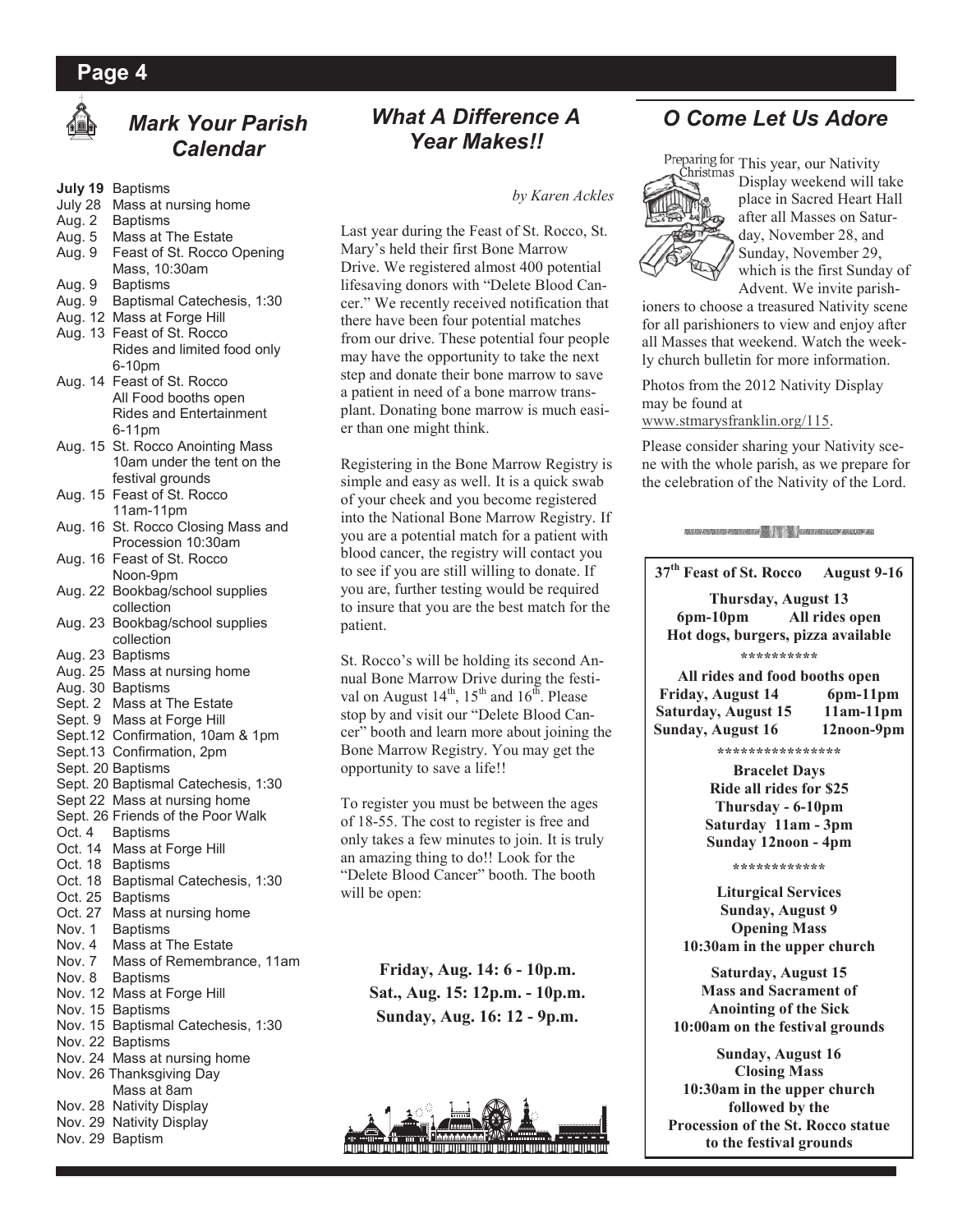### **Page 4**



## *Mark Your Parish Calendar*

- **July 19** Baptisms
- July 28 Mass at nursing home
- Aug. 2 Baptisms
- Aug. 5 Mass at The Estate
- Aug. 9 Feast of St. Rocco Opening Mass, 10:30am
- Aug. 9 Baptisms
- Aug. 9 Baptismal Catechesis, 1:30
- Aug. 12 Mass at Forge Hill
- Aug. 13 Feast of St. Rocco Rides and limited food only 6-10pm
- Aug. 14 Feast of St. Rocco All Food booths open Rides and Entertainment 6-11pm
- Aug. 15 St. Rocco Anointing Mass 10am under the tent on the festival grounds
- Aug. 15 Feast of St. Rocco 11am-11pm
- Aug. 16 St. Rocco Closing Mass and Procession 10:30am
- Aug. 16 Feast of St. Rocco Noon-9pm
- Aug. 22 Bookbag/school supplies collection
- Aug. 23 Bookbag/school supplies collection
- Aug. 23 Baptisms
- Aug. 25 Mass at nursing home
- Aug. 30 Baptisms
- Sept. 2 Mass at The Estate
- Sept. 9 Mass at Forge Hill
- Sept.12 Confirmation, 10am & 1pm
- Sept.13 Confirmation, 2pm
- Sept. 20 Baptisms
- Sept. 20 Baptismal Catechesis, 1:30
- Sept 22 Mass at nursing home
- Sept. 26 Friends of the Poor Walk
- Oct. 4 Baptisms
- Oct. 14 Mass at Forge Hill
- Oct. 18 Baptisms
- Oct. 18 Baptismal Catechesis, 1:30
- Oct. 25 Baptisms
- Oct. 27 Mass at nursing home
- Nov. 1 Baptisms
- Nov. 4 Mass at The Estate
- Nov. 7 Mass of Remembrance, 11am
- Nov. 8 Baptisms
- Nov. 12 Mass at Forge Hill
- Nov. 15 Baptisms Nov. 15 Baptismal Catechesis, 1:30
- 
- Nov. 22 Baptisms
- Nov. 24 Mass at nursing home Nov. 26 Thanksgiving Day
- Mass at 8am
- Nov. 28 Nativity Display
- Nov. 29 Nativity Display
- Nov. 29 Baptism

### *What A Difference A Year Makes!!*

*by Karen Ackles*

Last year during the Feast of St. Rocco, St. Mary's held their first Bone Marrow Drive. We registered almost 400 potential lifesaving donors with "Delete Blood Cancer." We recently received notification that there have been four potential matches from our drive. These potential four people may have the opportunity to take the next step and donate their bone marrow to save a patient in need of a bone marrow transplant. Donating bone marrow is much easier than one might think.

Registering in the Bone Marrow Registry is simple and easy as well. It is a quick swab of your cheek and you become registered into the National Bone Marrow Registry. If you are a potential match for a patient with blood cancer, the registry will contact you to see if you are still willing to donate. If you are, further testing would be required to insure that you are the best match for the patient.

St. Rocco's will be holding its second Annual Bone Marrow Drive during the festival on August  $14^{\text{th}}$ ,  $15^{\text{th}}$  and  $16^{\text{th}}$ . Please stop by and visit our "Delete Blood Cancer" booth and learn more about joining the Bone Marrow Registry. You may get the opportunity to save a life!!

To register you must be between the ages of 18-55. The cost to register is free and only takes a few minutes to join. It is truly an amazing thing to do!! Look for the "Delete Blood Cancer" booth. The booth will be open:

**Friday, Aug. 14: 6 - 10p.m. Sat., Aug. 15: 12p.m. - 10p.m. Sunday, Aug. 16: 12 - 9p.m.**



## *O Come Let Us Adore*

Čhristmas

Preparing for This year, our Nativity Display weekend will take place in Sacred Heart Hall after all Masses on Saturday, November 28, and Sunday, November 29, which is the first Sunday of Advent. We invite parish-

ioners to choose a treasured Nativity scene for all parishioners to view and enjoy after all Masses that weekend. Watch the weekly church bulletin for more information.

Photos from the 2012 Nativity Display may be found at [www.stmarysfranklin.org/115.](http://www.stmarysfranklin.org/115) 

Please consider sharing your Nativity scene with the whole parish, as we prepare for the celebration of the Nativity of the Lord.

NEW CONTRACTOR CONTRACTOR CONTRACTOR CONTRACTOR CONTRACTOR CONTRACTOR CONTRACTOR AND ARRESTS OF A REG.

**37th Feast of St. Rocco August 9-16**

**Thursday, August 13 6pm-10pm All rides open Hot dogs, burgers, pizza available \*\*\*\*\*\*\*\*\*\***

**All rides and food booths open Friday, August 14 6pm-11pm Saturday, August 15 11am-11pm Sunday, August 16 12noon-9pm**

**\*\*\*\*\*\*\*\*\*\*\*\*\*\*\*\***

**Bracelet Days Ride all rides for \$25 Thursday - 6-10pm Saturday 11am - 3pm Sunday 12noon - 4pm**

#### **\*\*\*\*\*\*\*\*\*\*\*\***

**Liturgical Services Sunday, August 9 Opening Mass 10:30am in the upper church**

**Saturday, August 15 Mass and Sacrament of Anointing of the Sick 10:00am on the festival grounds**

**Sunday, August 16 Closing Mass 10:30am in the upper church followed by the Procession of the St. Rocco statue to the festival grounds**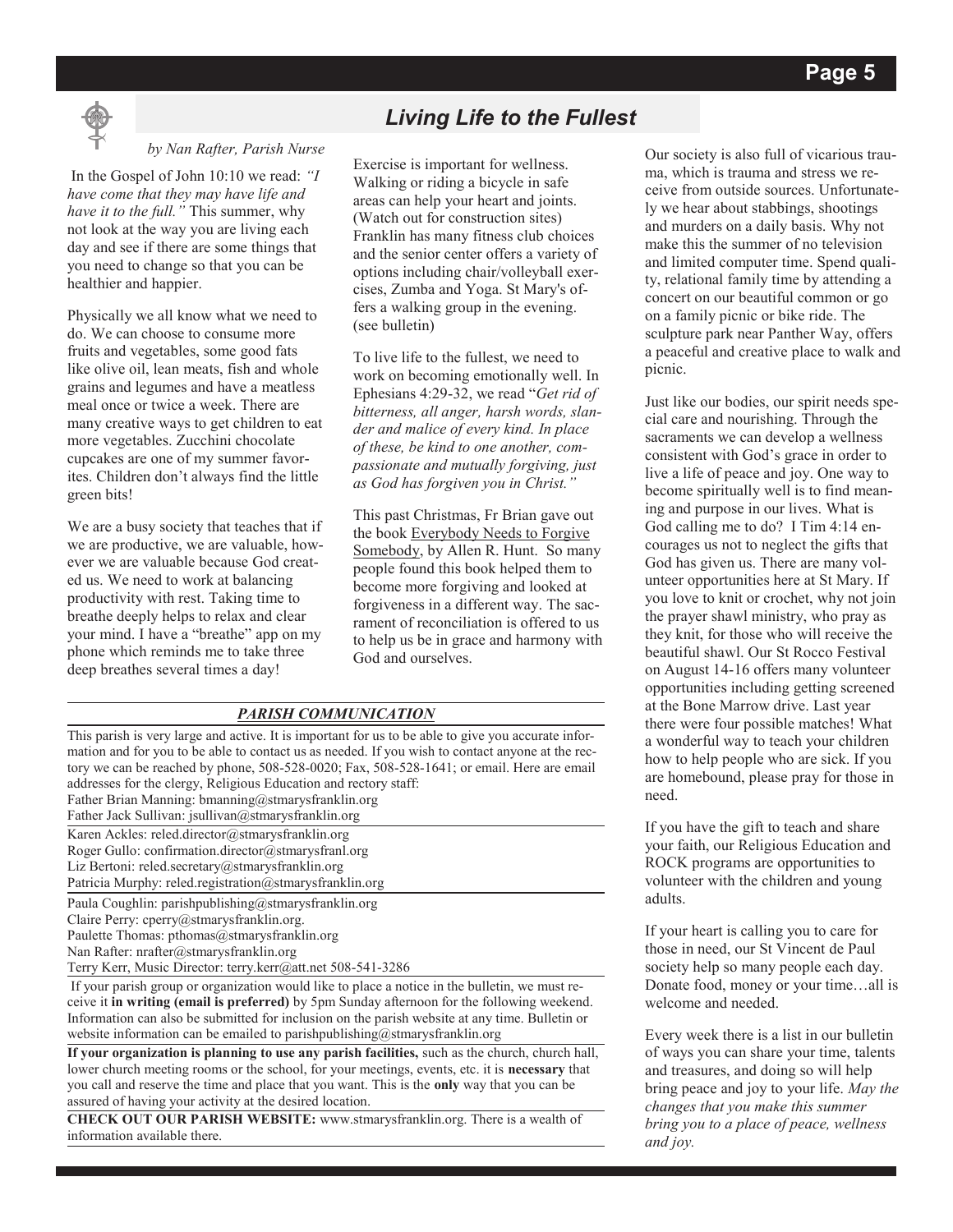

#### *by Nan Rafter, Parish Nurse*

In the Gospel of John 10:10 we read: *"I have come that they may have life and have it to the full."* This summer, why not look at the way you are living each day and see if there are some things that you need to change so that you can be healthier and happier.

Physically we all know what we need to do. We can choose to consume more fruits and vegetables, some good fats like olive oil, lean meats, fish and whole grains and legumes and have a meatless meal once or twice a week. There are many creative ways to get children to eat more vegetables. Zucchini chocolate cupcakes are one of my summer favorites. Children don't always find the little green bits!

We are a busy society that teaches that if we are productive, we are valuable, however we are valuable because God created us. We need to work at balancing productivity with rest. Taking time to breathe deeply helps to relax and clear your mind. I have a "breathe" app on my phone which reminds me to take three deep breathes several times a day!

## *Living Life to the Fullest*

Exercise is important for wellness. Walking or riding a bicycle in safe areas can help your heart and joints. (Watch out for construction sites) Franklin has many fitness club choices and the senior center offers a variety of options including chair/volleyball exercises, Zumba and Yoga. St Mary's offers a walking group in the evening. (see bulletin)

To live life to the fullest, we need to work on becoming emotionally well. In Ephesians 4:29-32, we read "*Get rid of bitterness, all anger, harsh words, slander and malice of every kind. In place of these, be kind to one another, compassionate and mutually forgiving, just as God has forgiven you in Christ."* 

This past Christmas, Fr Brian gave out the book Everybody Needs to Forgive Somebody, by Allen R. Hunt. So many people found this book helped them to become more forgiving and looked at forgiveness in a different way. The sacrament of reconciliation is offered to us to help us be in grace and harmony with God and ourselves.

#### *PARISH COMMUNICATION*

This parish is very large and active. It is important for us to be able to give you accurate information and for you to be able to contact us as needed. If you wish to contact anyone at the rectory we can be reached by phone, 508-528-0020; Fax, 508-528-1641; or email. Here are email addresses for the clergy, Religious Education and rectory staff: Father Brian Manning: bmanning@stmarysfranklin.org Father Jack Sullivan: jsullivan@stmarysfranklin.org

Karen Ackles: reled.director@stmarysfranklin.org Roger Gullo: confirmation.director@stmarysfranl.org Liz Bertoni: reled.secretary@stmarysfranklin.org

Patricia Murphy: reled.registration@stmarysfranklin.org

Paula Coughlin: parishpublishing@stmarysfranklin.org

Claire Perry: cperry@stmarysfranklin.org.

Paulette Thomas: pthomas@stmarysfranklin.org

Nan Rafter: nrafter@stmarysfranklin.org

Terry Kerr, Music Director: terry.kerr@att.net 508-541-3286

If your parish group or organization would like to place a notice in the bulletin, we must receive it **in writing (email is preferred)** by 5pm Sunday afternoon for the following weekend. Information can also be submitted for inclusion on the parish website at any time. Bulletin or website information can be emailed to parishpublishing@stmarysfranklin.org

**If your organization is planning to use any parish facilities,** such as the church, church hall, lower church meeting rooms or the school, for your meetings, events, etc. it is **necessary** that you call and reserve the time and place that you want. This is the **only** way that you can be assured of having your activity at the desired location.

**CHECK OUT OUR PARISH WEBSITE:** www.stmarysfranklin.org. There is a wealth of information available there.

Our society is also full of vicarious trauma, which is trauma and stress we receive from outside sources. Unfortunately we hear about stabbings, shootings and murders on a daily basis. Why not make this the summer of no television and limited computer time. Spend quality, relational family time by attending a concert on our beautiful common or go on a family picnic or bike ride. The sculpture park near Panther Way, offers a peaceful and creative place to walk and picnic.

Just like our bodies, our spirit needs special care and nourishing. Through the sacraments we can develop a wellness consistent with God's grace in order to live a life of peace and joy. One way to become spiritually well is to find meaning and purpose in our lives. What is God calling me to do? I Tim 4:14 encourages us not to neglect the gifts that God has given us. There are many volunteer opportunities here at St Mary. If you love to knit or crochet, why not join the prayer shawl ministry, who pray as they knit, for those who will receive the beautiful shawl. Our St Rocco Festival on August 14-16 offers many volunteer opportunities including getting screened at the Bone Marrow drive. Last year there were four possible matches! What a wonderful way to teach your children how to help people who are sick. If you are homebound, please pray for those in need.

If you have the gift to teach and share your faith, our Religious Education and ROCK programs are opportunities to volunteer with the children and young adults.

If your heart is calling you to care for those in need, our St Vincent de Paul society help so many people each day. Donate food, money or your time…all is welcome and needed.

Every week there is a list in our bulletin of ways you can share your time, talents and treasures, and doing so will help bring peace and joy to your life. *May the changes that you make this summer bring you to a place of peace, wellness and joy.*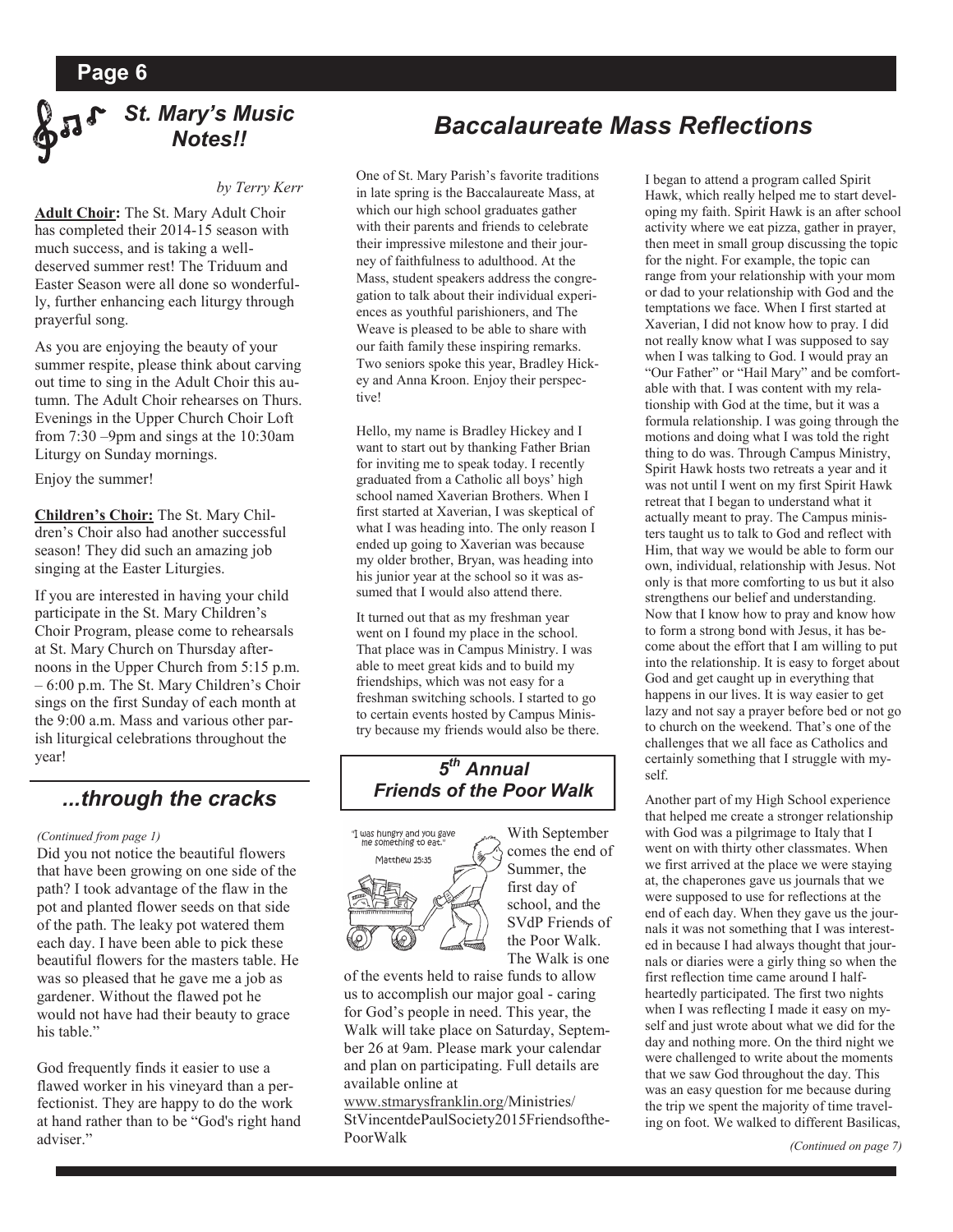

#### *by Terry Kerr*

**Adult Choir:** The St. Mary Adult Choir has completed their 2014-15 season with much success, and is taking a welldeserved summer rest! The Triduum and Easter Season were all done so wonderfully, further enhancing each liturgy through prayerful song.

As you are enjoying the beauty of your summer respite, please think about carving out time to sing in the Adult Choir this autumn. The Adult Choir rehearses on Thurs. Evenings in the Upper Church Choir Loft from 7:30 –9pm and sings at the 10:30am Liturgy on Sunday mornings.

Enjoy the summer!

**Children's Choir:** The St. Mary Children's Choir also had another successful season! They did such an amazing job singing at the Easter Liturgies.

If you are interested in having your child participate in the St. Mary Children's Choir Program, please come to rehearsals at St. Mary Church on Thursday afternoons in the Upper Church from 5:15 p.m. – 6:00 p.m. The St. Mary Children's Choir sings on the first Sunday of each month at the 9:00 a.m. Mass and various other parish liturgical celebrations throughout the year!

### *...through the cracks*

#### *(Continued from page 1)*

Did you not notice the beautiful flowers that have been growing on one side of the path? I took advantage of the flaw in the pot and planted flower seeds on that side of the path. The leaky pot watered them each day. I have been able to pick these beautiful flowers for the masters table. He was so pleased that he gave me a job as gardener. Without the flawed pot he would not have had their beauty to grace his table."

God frequently finds it easier to use a flawed worker in his vineyard than a perfectionist. They are happy to do the work at hand rather than to be "God's right hand adviser."

## *Baccalaureate Mass Reflections*

One of St. Mary Parish's favorite traditions in late spring is the Baccalaureate Mass, at which our high school graduates gather with their parents and friends to celebrate their impressive milestone and their journey of faithfulness to adulthood. At the Mass, student speakers address the congregation to talk about their individual experiences as youthful parishioners, and The Weave is pleased to be able to share with our faith family these inspiring remarks. Two seniors spoke this year, Bradley Hickey and Anna Kroon. Enjoy their perspective!

Hello, my name is Bradley Hickey and I want to start out by thanking Father Brian for inviting me to speak today. I recently graduated from a Catholic all boys' high school named Xaverian Brothers. When I first started at Xaverian, I was skeptical of what I was heading into. The only reason I ended up going to Xaverian was because my older brother, Bryan, was heading into his junior year at the school so it was assumed that I would also attend there.

It turned out that as my freshman year went on I found my place in the school. That place was in Campus Ministry. I was able to meet great kids and to build my friendships, which was not easy for a freshman switching schools. I started to go to certain events hosted by Campus Ministry because my friends would also be there.

### *5 th Annual Friends of the Poor Walk*



With September comes the end of Summer, the first day of school, and the SVdP Friends of the Poor Walk. The Walk is one

of the events held to raise funds to allow us to accomplish our major goal - caring for God's people in need. This year, the Walk will take place on Saturday, September 26 at 9am. Please mark your calendar and plan on participating. Full details are available online at

[www.stmarysfranklin.org/M](http://www.stmarysfranklin.org/)inistries/ StVincentdePaulSociety2015Friendsofthe-PoorWalk

I began to attend a program called Spirit Hawk, which really helped me to start developing my faith. Spirit Hawk is an after school activity where we eat pizza, gather in prayer, then meet in small group discussing the topic for the night. For example, the topic can range from your relationship with your mom or dad to your relationship with God and the temptations we face. When I first started at Xaverian, I did not know how to pray. I did not really know what I was supposed to say when I was talking to God. I would pray an "Our Father" or "Hail Mary" and be comfortable with that. I was content with my relationship with God at the time, but it was a formula relationship. I was going through the motions and doing what I was told the right thing to do was. Through Campus Ministry, Spirit Hawk hosts two retreats a year and it was not until I went on my first Spirit Hawk retreat that I began to understand what it actually meant to pray. The Campus ministers taught us to talk to God and reflect with Him, that way we would be able to form our own, individual, relationship with Jesus. Not only is that more comforting to us but it also strengthens our belief and understanding. Now that I know how to pray and know how to form a strong bond with Jesus, it has become about the effort that I am willing to put into the relationship. It is easy to forget about God and get caught up in everything that happens in our lives. It is way easier to get lazy and not say a prayer before bed or not go to church on the weekend. That's one of the challenges that we all face as Catholics and certainly something that I struggle with myself.

Another part of my High School experience that helped me create a stronger relationship with God was a pilgrimage to Italy that I went on with thirty other classmates. When we first arrived at the place we were staying at, the chaperones gave us journals that we were supposed to use for reflections at the end of each day. When they gave us the journals it was not something that I was interested in because I had always thought that journals or diaries were a girly thing so when the first reflection time came around I halfheartedly participated. The first two nights when I was reflecting I made it easy on myself and just wrote about what we did for the day and nothing more. On the third night we were challenged to write about the moments that we saw God throughout the day. This was an easy question for me because during the trip we spent the majority of time traveling on foot. We walked to different Basilicas,

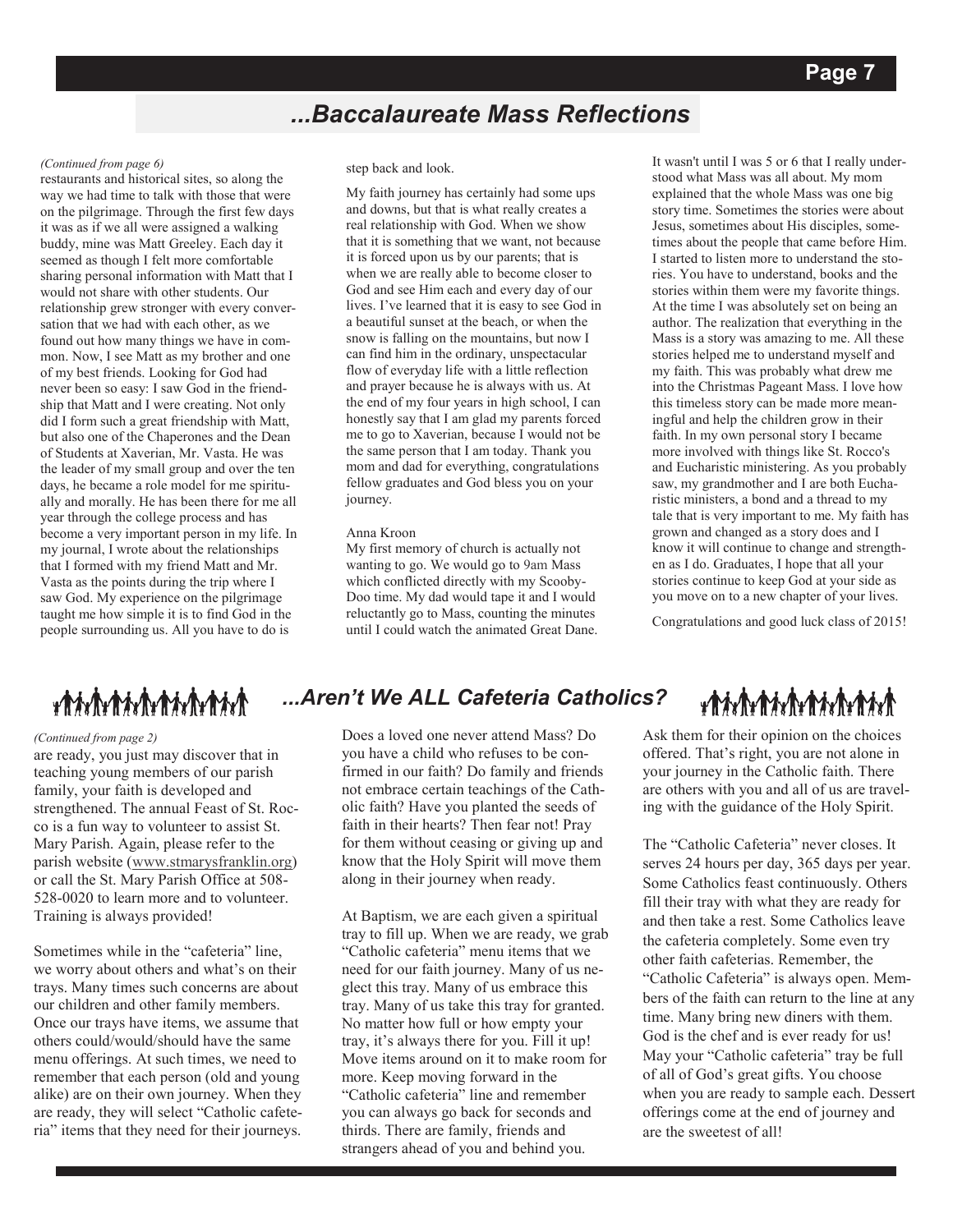## *...Baccalaureate Mass Reflections*

#### *(Continued from page 6)*

restaurants and historical sites, so along the way we had time to talk with those that were on the pilgrimage. Through the first few days it was as if we all were assigned a walking buddy, mine was Matt Greeley. Each day it seemed as though I felt more comfortable sharing personal information with Matt that I would not share with other students. Our relationship grew stronger with every conversation that we had with each other, as we found out how many things we have in common. Now, I see Matt as my brother and one of my best friends. Looking for God had never been so easy: I saw God in the friendship that Matt and I were creating. Not only did I form such a great friendship with Matt, but also one of the Chaperones and the Dean of Students at Xaverian, Mr. Vasta. He was the leader of my small group and over the ten days, he became a role model for me spiritually and morally. He has been there for me all year through the college process and has become a very important person in my life. In my journal, I wrote about the relationships that I formed with my friend Matt and Mr. Vasta as the points during the trip where I saw God. My experience on the pilgrimage taught me how simple it is to find God in the people surrounding us. All you have to do is

#### step back and look.

My faith journey has certainly had some ups and downs, but that is what really creates a real relationship with God. When we show that it is something that we want, not because it is forced upon us by our parents; that is when we are really able to become closer to God and see Him each and every day of our lives. I've learned that it is easy to see God in a beautiful sunset at the beach, or when the snow is falling on the mountains, but now I can find him in the ordinary, unspectacular flow of everyday life with a little reflection and prayer because he is always with us. At the end of my four years in high school, I can honestly say that I am glad my parents forced me to go to Xaverian, because I would not be the same person that I am today. Thank you mom and dad for everything, congratulations fellow graduates and God bless you on your journey.

#### Anna Kroon

My first memory of church is actually not wanting to go. We would go to 9am Mass which conflicted directly with my Scooby-Doo time. My dad would tape it and I would reluctantly go to Mass, counting the minutes until I could watch the animated Great Dane.

It wasn't until I was 5 or 6 that I really understood what Mass was all about. My mom explained that the whole Mass was one big story time. Sometimes the stories were about Jesus, sometimes about His disciples, sometimes about the people that came before Him. I started to listen more to understand the stories. You have to understand, books and the stories within them were my favorite things. At the time I was absolutely set on being an author. The realization that everything in the Mass is a story was amazing to me. All these stories helped me to understand myself and my faith. This was probably what drew me into the Christmas Pageant Mass. I love how this timeless story can be made more meaningful and help the children grow in their faith. In my own personal story I became more involved with things like St. Rocco's and Eucharistic ministering. As you probably saw, my grandmother and I are both Eucharistic ministers, a bond and a thread to my tale that is very important to me. My faith has grown and changed as a story does and I know it will continue to change and strengthen as I do. Graduates, I hope that all your stories continue to keep God at your side as you move on to a new chapter of your lives.

Congratulations and good luck class of 2015!

## ${\color{blue}\textbf{#}}{\color{blue}\textbf{#}}{\color{blue}\textbf{#}}{\color{blue}\textbf{#}}{\color{blue}\textbf{#}}{\color{blue}\textbf{#}}{\color{blue}\textbf{#}}{\color{blue}\textbf{#}}{\color{blue}\textbf{#}}{\color{blue}\textbf{#}}{\color{blue}\textbf{#}}{\color{blue}\textbf{#}}{\color{blue}\textbf{#}}{\color{blue}\textbf{#}}{\color{blue}\textbf{#}}{\color{blue}\textbf{#}}{\color{blue}\textbf{#}}{\color{blue}\textbf{#}}{\color{blue}\textbf{#}}{\color{blue}\textbf{#}}{\color{blue}\textbf{#}}{\color{blue}\textbf{#}}$

#### *(Continued from page 2)*

are ready, you just may discover that in teaching young members of our parish family, your faith is developed and strengthened. The annual Feast of St. Rocco is a fun way to volunteer to assist St. Mary Parish. Again, please refer to the parish website ([www.stmarysfranklin.org\)](http://www.stmarysfranklin.org) or call the St. Mary Parish Office at 508- 528-0020 to learn more and to volunteer. Training is always provided!

Sometimes while in the "cafeteria" line, we worry about others and what's on their trays. Many times such concerns are about our children and other family members. Once our trays have items, we assume that others could/would/should have the same menu offerings. At such times, we need to remember that each person (old and young alike) are on their own journey. When they are ready, they will select "Catholic cafeteria" items that they need for their journeys.

## *...Aren't We ALL Cafeteria Catholics?*

Does a loved one never attend Mass? Do you have a child who refuses to be confirmed in our faith? Do family and friends not embrace certain teachings of the Catholic faith? Have you planted the seeds of faith in their hearts? Then fear not! Pray for them without ceasing or giving up and know that the Holy Spirit will move them along in their journey when ready.

At Baptism, we are each given a spiritual tray to fill up. When we are ready, we grab "Catholic cafeteria" menu items that we need for our faith journey. Many of us neglect this tray. Many of us embrace this tray. Many of us take this tray for granted. No matter how full or how empty your tray, it's always there for you. Fill it up! Move items around on it to make room for more. Keep moving forward in the "Catholic cafeteria" line and remember you can always go back for seconds and thirds. There are family, friends and strangers ahead of you and behind you.

## ${\color{blue}\textbf{#}}{\color{blue}\textbf{#}}{\color{blue}\textbf{#}}{\color{blue}\textbf{#}}{\color{blue}\textbf{#}}{\color{blue}\textbf{#}}{\color{blue}\textbf{#}}{\color{blue}\textbf{#}}{\color{blue}\textbf{#}}{\color{blue}\textbf{#}}{\color{blue}\textbf{#}}{\color{blue}\textbf{#}}{\color{blue}\textbf{#}}{\color{blue}\textbf{#}}{\color{blue}\textbf{#}}{\color{blue}\textbf{#}}{\color{blue}\textbf{#}}{\color{blue}\textbf{#}}{\color{blue}\textbf{#}}{\color{blue}\textbf{#}}{\color{blue}\textbf{#}}{\color{blue}\textbf{#}}$

Ask them for their opinion on the choices offered. That's right, you are not alone in your journey in the Catholic faith. There are others with you and all of us are traveling with the guidance of the Holy Spirit.

The "Catholic Cafeteria" never closes. It serves 24 hours per day, 365 days per year. Some Catholics feast continuously. Others fill their tray with what they are ready for and then take a rest. Some Catholics leave the cafeteria completely. Some even try other faith cafeterias. Remember, the "Catholic Cafeteria" is always open. Members of the faith can return to the line at any time. Many bring new diners with them. God is the chef and is ever ready for us! May your "Catholic cafeteria" tray be full of all of God's great gifts. You choose when you are ready to sample each. Dessert offerings come at the end of journey and are the sweetest of all!